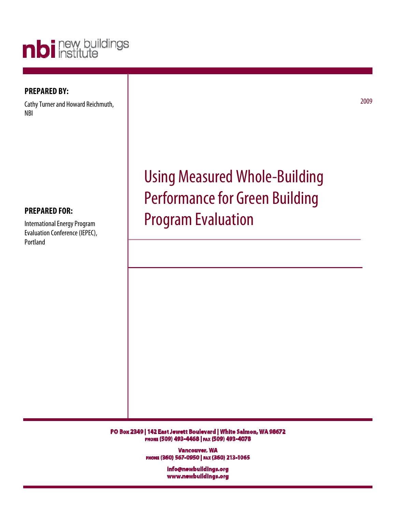

### **PREPARED BY:**

Cathy Turner and Howard Reichmuth, NBI

2009

# **PREPARED FOR:**

International Energy Program Evaluation Conference (IEPEC), Portland

Using Measured Whole-Building Performance for Green Building Program Evaluation

PO Box 2349 | 142 East Jewett Boulevard | White Salmon, WA 98672 PHONE (509) 493-4468 | FAX (509) 493-4078

> Vancouver, WA РИОНЕ (360) 567-0950 | РАХ (360) 213-1065

> > info@newbuildings.org www.newbuildings.org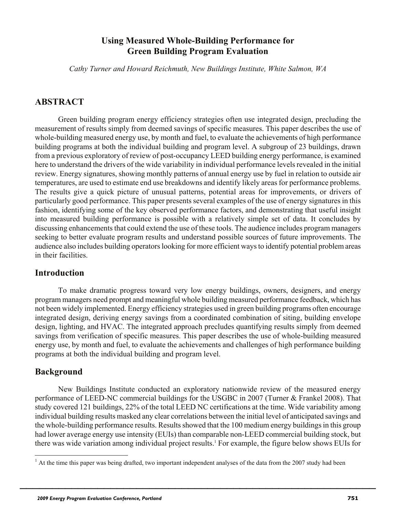# **Using Measured Whole-Building Performance for Green Building Program Evaluation**

*Cathy Turner and Howard Reichmuth, New Buildings Institute, White Salmon, WA*

# **ABSTRACT**

Green building program energy efficiency strategies often use integrated design, precluding the measurement of results simply from deemed savings of specific measures. This paper describes the use of whole-building measured energy use, by month and fuel, to evaluate the achievements of high performance building programs at both the individual building and program level. A subgroup of 23 buildings, drawn from a previous exploratory of review of post-occupancy LEED building energy performance, is examined here to understand the drivers of the wide variability in individual performance levels revealed in the initial review. Energy signatures, showing monthly patterns of annual energy use by fuel in relation to outside air temperatures, are used to estimate end use breakdowns and identify likely areas for performance problems. The results give a quick picture of unusual patterns, potential areas for improvements, or drivers of particularly good performance. This paper presents several examples of the use of energy signatures in this fashion, identifying some of the key observed performance factors, and demonstrating that useful insight into measured building performance is possible with a relatively simple set of data. It concludes by discussing enhancements that could extend the use of these tools. The audience includes program managers seeking to better evaluate program results and understand possible sources of future improvements. The audience also includes building operators looking for more efficient ways to identify potential problem areas in their facilities.

## **Introduction**

To make dramatic progress toward very low energy buildings, owners, designers, and energy program managers need prompt and meaningful whole building measured performance feedback, which has not been widely implemented. Energy efficiency strategies used in green building programs often encourage integrated design, deriving energy savings from a coordinated combination of siting, building envelope design, lighting, and HVAC. The integrated approach precludes quantifying results simply from deemed savings from verification of specific measures. This paper describes the use of whole-building measured energy use, by month and fuel, to evaluate the achievements and challenges of high performance building programs at both the individual building and program level.

## **Background**

New Buildings Institute conducted an exploratory nationwide review of the measured energy performance of LEED-NC commercial buildings for the USGBC in 2007 (Turner & Frankel 2008). That study covered 121 buildings, 22% of the total LEED NC certifications at the time. Wide variability among individual building results masked any clear correlations between the initial level of anticipated savings and the whole-building performance results. Results showed that the 100 medium energy buildings in this group had lower average energy use intensity (EUIs) than comparable non-LEED commercial building stock, but there was wide variation among individual project results.<sup>1</sup> For example, the figure below shows EUIs for

<sup>&</sup>lt;sup>1</sup> At the time this paper was being drafted, two important independent analyses of the data from the 2007 study had been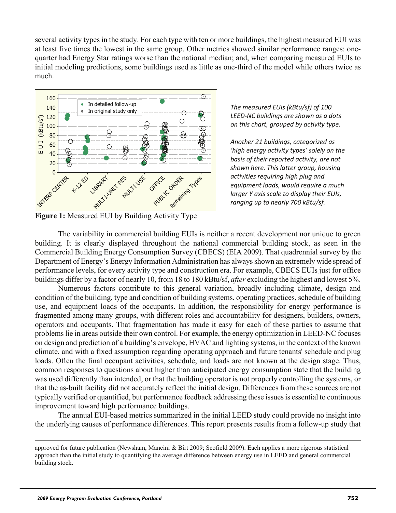several activity types in the study. For each type with ten or more buildings, the highest measured EUI was at least five times the lowest in the same group. Other metrics showed similar performance ranges: onequarter had Energy Star ratings worse than the national median; and, when comparing measured EUIs to initial modeling predictions, some buildings used as little as one-third of the model while others twice as much.



*The measured EUIs (kBtu/sf) of 100 LEED-NC buildings are shown as a dots on this chart, grouped by activity type.* 

*Another 21 buildings, categorized as 'high energy activity types' solely on the basis of their reported activity, are not shown here. This latter group, housing activities requiring high plug and equipment loads, would require a much larger Y axis scale to display their EUIs, ranging up to nearly 700 kBtu/sf.*

**Figure 1:** Measured EUI by Building Activity Type

The variability in commercial building EUIs is neither a recent development nor unique to green building. It is clearly displayed throughout the national commercial building stock, as seen in the Commercial Building Energy Consumption Survey (CBECS) (EIA 2009). That quadrennial survey by the Department of Energy's Energy Information Administration has always shown an extremely wide spread of performance levels, for every activity type and construction era. For example, CBECS EUIs just for office buildings differ by a factor of nearly 10, from 18 to 180 kBtu/sf, *after* excluding the highest and lowest 5%.

Numerous factors contribute to this general variation, broadly including climate, design and condition of the building, type and condition of building systems, operating practices, schedule of building use, and equipment loads of the occupants. In addition, the responsibility for energy performance is fragmented among many groups, with different roles and accountability for designers, builders, owners, operators and occupants. That fragmentation has made it easy for each of these parties to assume that problems lie in areas outside their own control. For example, the energy optimization in LEED-NC focuses on design and prediction of a building's envelope, HVAC and lighting systems, in the context of the known climate, and with a fixed assumption regarding operating approach and future tenants' schedule and plug loads. Often the final occupant activities, schedule, and loads are not known at the design stage. Thus, common responses to questions about higher than anticipated energy consumption state that the building was used differently than intended, or that the building operator is not properly controlling the systems, or that the as-built facility did not accurately reflect the initial design. Differences from these sources are not typically verified or quantified, but performance feedback addressing these issues is essential to continuous improvement toward high performance buildings.

The annual EUI-based metrics summarized in the initial LEED study could provide no insight into the underlying causes of performance differences. This report presents results from a follow-up study that

approved for future publication (Newsham, Mancini & Birt 2009; Scofield 2009). Each applies a more rigorous statistical approach than the initial study to quantifying the average difference between energy use in LEED and general commercial building stock.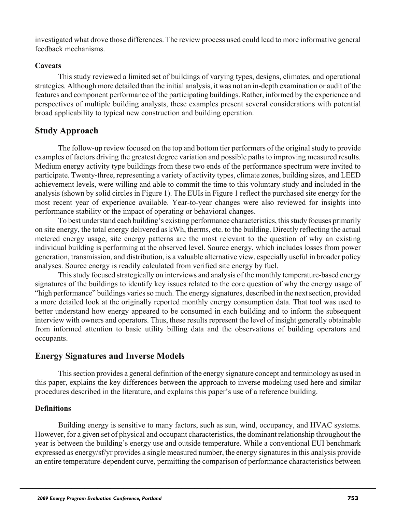investigated what drove those differences. The review process used could lead to more informative general feedback mechanisms.

#### **Caveats**

This study reviewed a limited set of buildings of varying types, designs, climates, and operational strategies. Although more detailed than the initial analysis, it was not an in-depth examination or audit of the features and component performance of the participating buildings. Rather, informed by the experience and perspectives of multiple building analysts, these examples present several considerations with potential broad applicability to typical new construction and building operation.

# **Study Approach**

The follow-up review focused on the top and bottom tier performers of the original study to provide examples of factors driving the greatest degree variation and possible paths to improving measured results. Medium energy activity type buildings from these two ends of the performance spectrum were invited to participate. Twenty-three, representing a variety of activity types, climate zones, building sizes, and LEED achievement levels, were willing and able to commit the time to this voluntary study and included in the analysis (shown by solid circles in Figure 1). The EUIs in Figure 1 reflect the purchased site energy for the most recent year of experience available. Year-to-year changes were also reviewed for insights into performance stability or the impact of operating or behavioral changes.

To best understand each building's existing performance characteristics, this study focuses primarily on site energy, the total energy delivered as kWh, therms, etc. to the building. Directly reflecting the actual metered energy usage, site energy patterns are the most relevant to the question of why an existing individual building is performing at the observed level. Source energy, which includes losses from power generation, transmission, and distribution, is a valuable alternative view, especially useful in broader policy analyses. Source energy is readily calculated from verified site energy by fuel.

This study focused strategically on interviews and analysis of the monthly temperature-based energy signatures of the buildings to identify key issues related to the core question of why the energy usage of "high performance" buildings varies so much. The energy signatures, described in the next section, provided a more detailed look at the originally reported monthly energy consumption data. That tool was used to better understand how energy appeared to be consumed in each building and to inform the subsequent interview with owners and operators. Thus, these results represent the level of insight generally obtainable from informed attention to basic utility billing data and the observations of building operators and occupants.

## **Energy Signatures and Inverse Models**

This section provides a general definition of the energy signature concept and terminology as used in this paper, explains the key differences between the approach to inverse modeling used here and similar procedures described in the literature, and explains this paper's use of a reference building.

### **Definitions**

Building energy is sensitive to many factors, such as sun, wind, occupancy, and HVAC systems. However, for a given set of physical and occupant characteristics, the dominant relationship throughout the year is between the building's energy use and outside temperature. While a conventional EUI benchmark expressed as energy/sf/yr provides a single measured number, the energy signatures in this analysis provide an entire temperature-dependent curve, permitting the comparison of performance characteristics between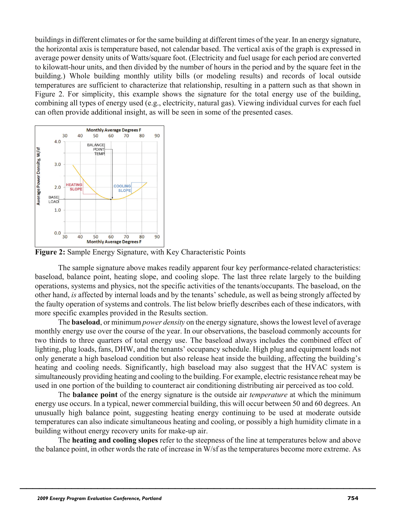buildings in different climates or for the same building at different times of the year. In an energy signature, the horizontal axis is temperature based, not calendar based. The vertical axis of the graph is expressed in average power density units of Watts/square foot. (Electricity and fuel usage for each period are converted to kilowatt-hour units, and then divided by the number of hours in the period and by the square feet in the building.) Whole building monthly utility bills (or modeling results) and records of local outside temperatures are sufficient to characterize that relationship, resulting in a pattern such as that shown in Figure 2. For simplicity, this example shows the signature for the total energy use of the building, combining all types of energy used (e.g., electricity, natural gas). Viewing individual curves for each fuel can often provide additional insight, as will be seen in some of the presented cases.



**Figure 2:** Sample Energy Signature, with Key Characteristic Points

The sample signature above makes readily apparent four key performance-related characteristics: baseload, balance point, heating slope, and cooling slope. The last three relate largely to the building operations, systems and physics, not the specific activities of the tenants/occupants. The baseload, on the other hand, *is* affected by internal loads and by the tenants' schedule, as well as being strongly affected by the faulty operation of systems and controls. The list below briefly describes each of these indicators, with more specific examples provided in the Results section.

The **baseload**, or minimum *power density* on the energy signature, shows the lowest level of average monthly energy use over the course of the year. In our observations, the baseload commonly accounts for two thirds to three quarters of total energy use. The baseload always includes the combined effect of lighting, plug loads, fans, DHW, and the tenants' occupancy schedule. High plug and equipment loads not only generate a high baseload condition but also release heat inside the building, affecting the building's heating and cooling needs. Significantly, high baseload may also suggest that the HVAC system is simultaneously providing heating and cooling to the building. For example, electric resistance reheat may be used in one portion of the building to counteract air conditioning distributing air perceived as too cold.

The **balance point** of the energy signature is the outside air *temperature* at which the minimum energy use occurs. In a typical, newer commercial building, this will occur between 50 and 60 degrees. An unusually high balance point, suggesting heating energy continuing to be used at moderate outside temperatures can also indicate simultaneous heating and cooling, or possibly a high humidity climate in a building without energy recovery units for make-up air.

The **heating and cooling slopes** refer to the steepness of the line at temperatures below and above the balance point, in other words the rate of increase in W/sf as the temperatures become more extreme. As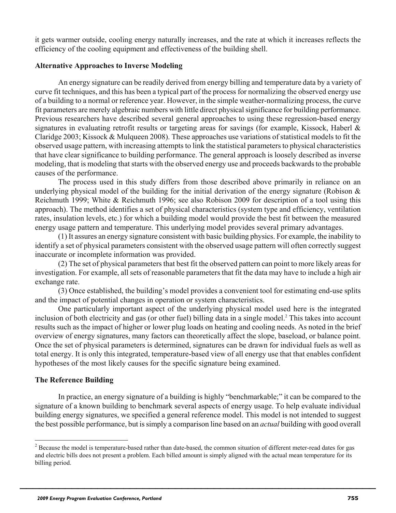it gets warmer outside, cooling energy naturally increases, and the rate at which it increases reflects the efficiency of the cooling equipment and effectiveness of the building shell.

#### **Alternative Approaches to Inverse Modeling**

An energy signature can be readily derived from energy billing and temperature data by a variety of curve fit techniques, and this has been a typical part of the process for normalizing the observed energy use of a building to a normal or reference year. However, in the simple weather-normalizing process, the curve fit parameters are merely algebraic numbers with little direct physical significance for building performance. Previous researchers have described several general approaches to using these regression-based energy signatures in evaluating retrofit results or targeting areas for savings (for example, Kissock, Haberl & Claridge 2003; Kissock & Mulqueen 2008). These approaches use variations of statistical models to fit the observed usage pattern, with increasing attempts to link the statistical parameters to physical characteristics that have clear significance to building performance. The general approach is loosely described as inverse modeling, that is modeling that starts with the observed energy use and proceeds backwards to the probable causes of the performance.

The process used in this study differs from those described above primarily in reliance on an underlying physical model of the building for the initial derivation of the energy signature (Robison  $\&$ Reichmuth 1999; White & Reichmuth 1996; see also Robison 2009 for description of a tool using this approach). The method identifies a set of physical characteristics (system type and efficiency, ventilation rates, insulation levels, etc.) for which a building model would provide the best fit between the measured energy usage pattern and temperature. This underlying model provides several primary advantages.

(1) It assures an energy signature consistent with basic building physics. For example, the inability to identify a set of physical parameters consistent with the observed usage pattern will often correctly suggest inaccurate or incomplete information was provided.

(2) The set of physical parameters that best fit the observed pattern can point to more likely areas for investigation. For example, all sets of reasonable parameters that fit the data may have to include a high air exchange rate.

(3) Once established, the building's model provides a convenient tool for estimating end-use splits and the impact of potential changes in operation or system characteristics.

One particularly important aspect of the underlying physical model used here is the integrated inclusion of both electricity and gas (or other fuel) billing data in a single model.<sup>2</sup> This takes into account results such as the impact of higher or lower plug loads on heating and cooling needs. As noted in the brief overview of energy signatures, many factors can theoretically affect the slope, baseload, or balance point. Once the set of physical parameters is determined, signatures can be drawn for individual fuels as well as total energy. It is only this integrated, temperature-based view of all energy use that that enables confident hypotheses of the most likely causes for the specific signature being examined.

### **The Reference Building**

1

In practice, an energy signature of a building is highly "benchmarkable;" it can be compared to the signature of a known building to benchmark several aspects of energy usage. To help evaluate individual building energy signatures, we specified a general reference model. This model is not intended to suggest the best possible performance, but is simply a comparison line based on an *actual* building with good overall

 $2^2$  Because the model is temperature-based rather than date-based, the common situation of different meter-read dates for gas and electric bills does not present a problem. Each billed amount is simply aligned with the actual mean temperature for its billing period.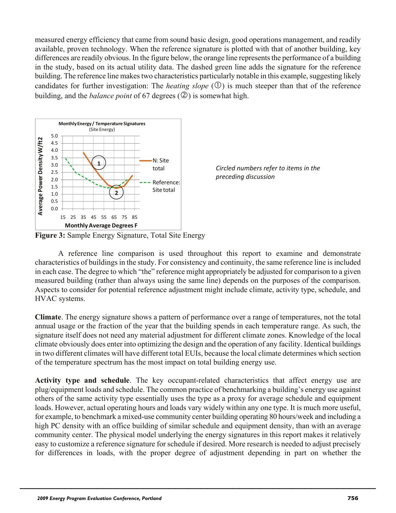measured energy efficiency that came from sound basic design, good operations management, and readily available, proven technology. When the reference signature is plotted with that of another building, key differences are readily obvious. In the figure below, the orange line represents the performance of a building in the study, based on its actual utility data. The dashed green line adds the signature for the reference building. The reference line makes two characteristics particularly notable in this example, suggesting likely candidates for further investigation: The *heating slope*  $(\mathbb{O})$  is much steeper than that of the reference building, and the *balance point* of 67 degrees  $(\mathcal{Q})$  is somewhat high.





**Figure 3:** Sample Energy Signature, Total Site Energy

A reference line comparison is used throughout this report to examine and demonstrate characteristics of buildings in the study. For consistency and continuity, the same reference line is included in each case. The degree to which "the" reference might appropriately be adjusted for comparison to a given measured building (rather than always using the same line) depends on the purposes of the comparison. Aspects to consider for potential reference adjustment might include climate, activity type, schedule, and HVAC systems.

**Climate**. The energy signature shows a pattern of performance over a range of temperatures, not the total annual usage or the fraction of the year that the building spends in each temperature range. As such, the signature itself does not need any material adjustment for different climate zones. Knowledge of the local climate obviously does enter into optimizing the design and the operation of any facility. Identical buildings in two different climates will have different total EUIs, because the local climate determines which section of the temperature spectrum has the most impact on total building energy use.

**Activity type and schedule**. The key occupant-related characteristics that affect energy use are plug/equipment loads and schedule. The common practice of benchmarking a building's energy use against others of the same activity type essentially uses the type as a proxy for average schedule and equipment loads. However, actual operating hours and loads vary widely within any one type. It is much more useful, for example, to benchmark a mixed-use community center building operating 80 hours/week and including a high PC density with an office building of similar schedule and equipment density, than with an average community center. The physical model underlying the energy signatures in this report makes it relatively easy to customize a reference signature for schedule if desired. More research is needed to adjust precisely for differences in loads, with the proper degree of adjustment depending in part on whether the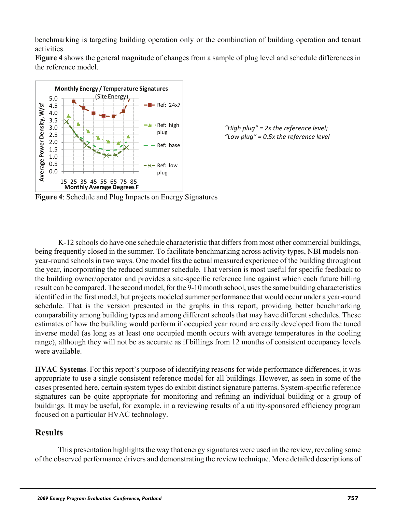benchmarking is targeting building operation only or the combination of building operation and tenant activities.

**Figure 4** shows the general magnitude of changes from a sample of plug level and schedule differences in the reference model.



*"High plug" = 2x the reference level; "Low plug" = 0.5x the reference level* 

**Figure 4**: Schedule and Plug Impacts on Energy Signatures

K-12 schools do have one schedule characteristic that differs from most other commercial buildings, being frequently closed in the summer. To facilitate benchmarking across activity types, NBI models nonyear-round schools in two ways. One model fits the actual measured experience of the building throughout the year, incorporating the reduced summer schedule. That version is most useful for specific feedback to the building owner/operator and provides a site-specific reference line against which each future billing result can be compared. The second model, for the 9-10 month school, uses the same building characteristics identified in the first model, but projects modeled summer performance that would occur under a year-round schedule. That is the version presented in the graphs in this report, providing better benchmarking comparability among building types and among different schools that may have different schedules. These estimates of how the building would perform if occupied year round are easily developed from the tuned inverse model (as long as at least one occupied month occurs with average temperatures in the cooling range), although they will not be as accurate as if billings from 12 months of consistent occupancy levels were available.

**HVAC Systems**. For this report's purpose of identifying reasons for wide performance differences, it was appropriate to use a single consistent reference model for all buildings. However, as seen in some of the cases presented here, certain system types do exhibit distinct signature patterns. System-specific reference signatures can be quite appropriate for monitoring and refining an individual building or a group of buildings. It may be useful, for example, in a reviewing results of a utility-sponsored efficiency program focused on a particular HVAC technology.

# **Results**

This presentation highlights the way that energy signatures were used in the review, revealing some of the observed performance drivers and demonstrating the review technique. More detailed descriptions of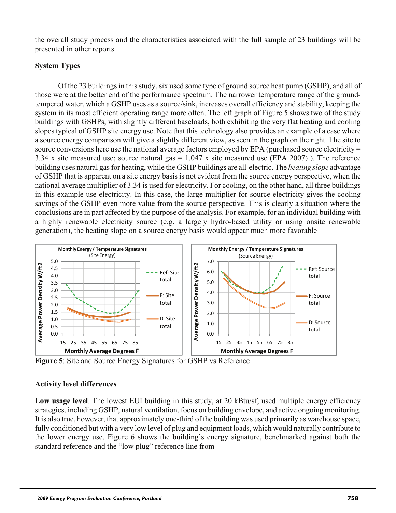the overall study process and the characteristics associated with the full sample of 23 buildings will be presented in other reports.

### **System Types**

Of the 23 buildings in this study, six used some type of ground source heat pump (GSHP), and all of those were at the better end of the performance spectrum. The narrower temperature range of the groundtempered water, which a GSHP uses as a source/sink, increases overall efficiency and stability, keeping the system in its most efficient operating range more often. The left graph of Figure 5 shows two of the study buildings with GSHPs, with slightly different baseloads, both exhibiting the very flat heating and cooling slopes typical of GSHP site energy use. Note that this technology also provides an example of a case where a source energy comparison will give a slightly different view, as seen in the graph on the right. The site to source conversions here use the national average factors employed by EPA (purchased source electricity = 3.34 x site measured use; source natural gas = 1.047 x site measured use (EPA 2007) ). The reference building uses natural gas for heating, while the GSHP buildings are all-electric. The *heating slope* advantage of GSHP that is apparent on a site energy basis is not evident from the source energy perspective, when the national average multiplier of 3.34 is used for electricity. For cooling, on the other hand, all three buildings in this example use electricity. In this case, the large multiplier for source electricity gives the cooling savings of the GSHP even more value from the source perspective. This is clearly a situation where the conclusions are in part affected by the purpose of the analysis. For example, for an individual building with a highly renewable electricity source (e.g. a largely hydro-based utility or using onsite renewable generation), the heating slope on a source energy basis would appear much more favorable



**Figure 5**: Site and Source Energy Signatures for GSHP vs Reference

## **Activity level differences**

**Low usage level**. The lowest EUI building in this study, at 20 kBtu/sf, used multiple energy efficiency strategies, including GSHP, natural ventilation, focus on building envelope, and active ongoing monitoring. It is also true, however, that approximately one-third of the building was used primarily as warehouse space, fully conditioned but with a very low level of plug and equipment loads, which would naturally contribute to the lower energy use. Figure 6 shows the building's energy signature, benchmarked against both the standard reference and the "low plug" reference line from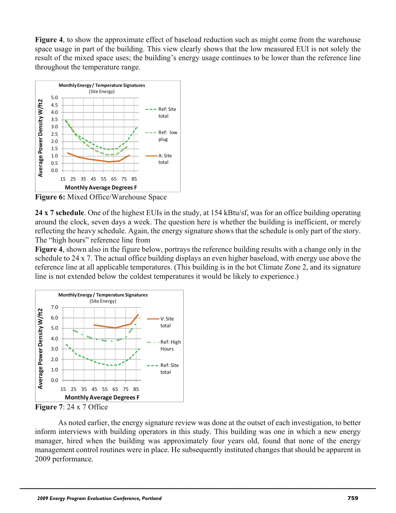**Figure 4**, to show the approximate effect of baseload reduction such as might come from the warehouse space usage in part of the building. This view clearly shows that the low measured EUI is not solely the result of the mixed space uses; the building's energy usage continues to be lower than the reference line throughout the temperature range.



**Figure 6:** Mixed Office/Warehouse Space

**24 x 7 schedule**. One of the highest EUIs in the study, at 154 kBtu/sf, was for an office building operating around the clock, seven days a week. The question here is whether the building is inefficient, or merely reflecting the heavy schedule. Again, the energy signature shows that the schedule is only part of the story. The "high hours" reference line from

**Figure 4**, shown also in the figure below, portrays the reference building results with a change only in the schedule to 24 x 7. The actual office building displays an even higher baseload, with energy use above the reference line at all applicable temperatures. (This building is in the hot Climate Zone 2, and its signature line is not extended below the coldest temperatures it would be likely to experience.)



**Figure 7**: 24 x 7 Office

As noted earlier, the energy signature review was done at the outset of each investigation, to better inform interviews with building operators in this study. This building was one in which a new energy manager, hired when the building was approximately four years old, found that none of the energy management control routines were in place. He subsequently instituted changes that should be apparent in 2009 performance.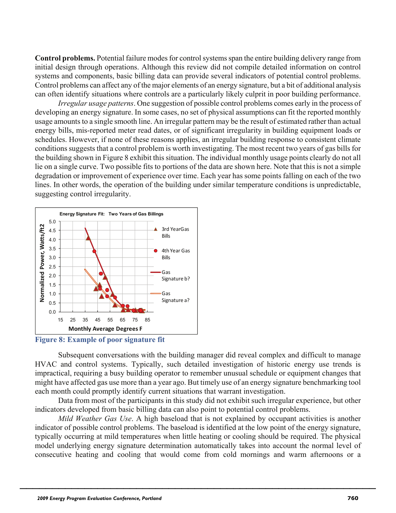**Control problems.** Potential failure modes for control systems span the entire building delivery range from initial design through operations. Although this review did not compile detailed information on control systems and components, basic billing data can provide several indicators of potential control problems. Control problems can affect any of the major elements of an energy signature, but a bit of additional analysis can often identify situations where controls are a particularly likely culprit in poor building performance.

*Irregular usage patterns*. One suggestion of possible control problems comes early in the process of developing an energy signature. In some cases, no set of physical assumptions can fit the reported monthly usage amounts to a single smooth line. An irregular pattern may be the result of estimated rather than actual energy bills, mis-reported meter read dates, or of significant irregularity in building equipment loads or schedules. However, if none of these reasons applies, an irregular building response to consistent climate conditions suggests that a control problem is worth investigating. The most recent two years of gas bills for the building shown in Figure 8 exhibit this situation. The individual monthly usage points clearly do not all lie on a single curve. Two possible fits to portions of the data are shown here. Note that this is not a simple degradation or improvement of experience over time. Each year has some points falling on each of the two lines. In other words, the operation of the building under similar temperature conditions is unpredictable, suggesting control irregularity.



**Figure 8: Example of poor signature fit** 

Subsequent conversations with the building manager did reveal complex and difficult to manage HVAC and control systems. Typically, such detailed investigation of historic energy use trends is impractical, requiring a busy building operator to remember unusual schedule or equipment changes that might have affected gas use more than a year ago. But timely use of an energy signature benchmarking tool each month could promptly identify current situations that warrant investigation.

Data from most of the participants in this study did not exhibit such irregular experience, but other indicators developed from basic billing data can also point to potential control problems.

*Mild Weather Gas Use*. A high baseload that is not explained by occupant activities is another indicator of possible control problems. The baseload is identified at the low point of the energy signature, typically occurring at mild temperatures when little heating or cooling should be required. The physical model underlying energy signature determination automatically takes into account the normal level of consecutive heating and cooling that would come from cold mornings and warm afternoons or a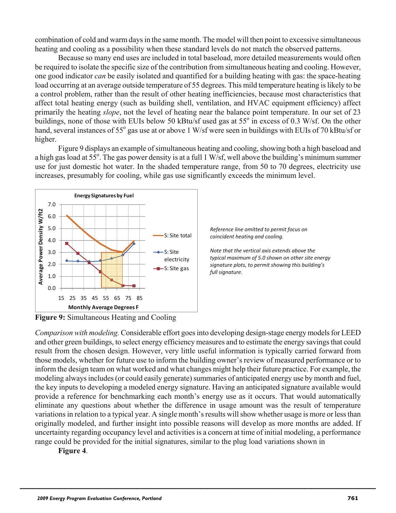combination of cold and warm days in the same month. The model will then point to excessive simultaneous heating and cooling as a possibility when these standard levels do not match the observed patterns.

Because so many end uses are included in total baseload, more detailed measurements would often be required to isolate the specific size of the contribution from simultaneous heating and cooling. However, one good indicator *can* be easily isolated and quantified for a building heating with gas: the space-heating load occurring at an average outside temperature of 55 degrees. This mild temperature heating is likely to be a control problem, rather than the result of other heating inefficiencies, because most characteristics that affect total heating energy (such as building shell, ventilation, and HVAC equipment efficiency) affect primarily the heating *slope*, not the level of heating near the balance point temperature. In our set of 23 buildings, none of those with EUIs below 50 kBtu/sf used gas at 55 $\degree$  in excess of 0.3 W/sf. On the other hand, several instances of 55° gas use at or above 1 W/sf were seen in buildings with EUIs of 70 kBtu/sf or higher.

Figure 9 displays an example of simultaneous heating and cooling, showing both a high baseload and a high gas load at  $55^\circ$ . The gas power density is at a full 1 W/sf, well above the building's minimum summer use for just domestic hot water. In the shaded temperature range, from 50 to 70 degrees, electricity use increases, presumably for cooling, while gas use significantly exceeds the minimum level.





*Note that the vertical axis extends above the typical maximum of 5.0 shown on other site energy signature plots, to permit showing this building's full signature.*

**Figure 9:** Simultaneous Heating and Cooling

*Comparison with modeling.* Considerable effort goes into developing design-stage energy models for LEED and other green buildings, to select energy efficiency measures and to estimate the energy savings that could result from the chosen design. However, very little useful information is typically carried forward from those models, whether for future use to inform the building owner's review of measured performance or to inform the design team on what worked and what changes might help their future practice. For example, the modeling always includes (or could easily generate) summaries of anticipated energy use by month and fuel, the key inputs to developing a modeled energy signature. Having an anticipated signature available would provide a reference for benchmarking each month's energy use as it occurs. That would automatically eliminate any questions about whether the difference in usage amount was the result of temperature variations in relation to a typical year. A single month's results will show whether usage is more or less than originally modeled, and further insight into possible reasons will develop as more months are added. If uncertainty regarding occupancy level and activities is a concern at time of initial modeling, a performance range could be provided for the initial signatures, similar to the plug load variations shown in

\_\_\_\_\_\_\_\_\_\_\_\_\_\_\_\_\_\_\_\_\_\_\_\_\_\_\_\_\_\_\_\_\_\_\_\_\_\_\_\_\_\_\_\_\_\_\_\_\_\_\_\_\_\_\_

**Figure 4**.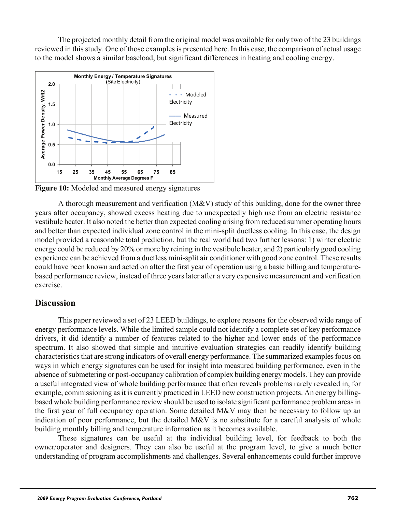The projected monthly detail from the original model was available for only two of the 23 buildings reviewed in this study. One of those examples is presented here. In this case, the comparison of actual usage to the model shows a similar baseload, but significant differences in heating and cooling energy.



**Figure 10:** Modeled and measured energy signatures

A thorough measurement and verification  $(M&V)$  study of this building, done for the owner three years after occupancy, showed excess heating due to unexpectedly high use from an electric resistance vestibule heater. It also noted the better than expected cooling arising from reduced summer operating hours and better than expected individual zone control in the mini-split ductless cooling. In this case, the design model provided a reasonable total prediction, but the real world had two further lessons: 1) winter electric energy could be reduced by 20% or more by reining in the vestibule heater, and 2) particularly good cooling experience can be achieved from a ductless mini-split air conditioner with good zone control. These results could have been known and acted on after the first year of operation using a basic billing and temperaturebased performance review, instead of three years later after a very expensive measurement and verification exercise.

## **Discussion**

This paper reviewed a set of 23 LEED buildings, to explore reasons for the observed wide range of energy performance levels. While the limited sample could not identify a complete set of key performance drivers, it did identify a number of features related to the higher and lower ends of the performance spectrum. It also showed that simple and intuitive evaluation strategies can readily identify building characteristics that are strong indicators of overall energy performance. The summarized examples focus on ways in which energy signatures can be used for insight into measured building performance, even in the absence of submetering or post-occupancy calibration of complex building energy models. They can provide a useful integrated view of whole building performance that often reveals problems rarely revealed in, for example, commissioning as it is currently practiced in LEED new construction projects. An energy billingbased whole building performance review should be used to isolate significant performance problem areas in the first year of full occupancy operation. Some detailed M&V may then be necessary to follow up an indication of poor performance, but the detailed M&V is no substitute for a careful analysis of whole building monthly billing and temperature information as it becomes available.

These signatures can be useful at the individual building level, for feedback to both the owner/operator and designers. They can also be useful at the program level, to give a much better understanding of program accomplishments and challenges. Several enhancements could further improve